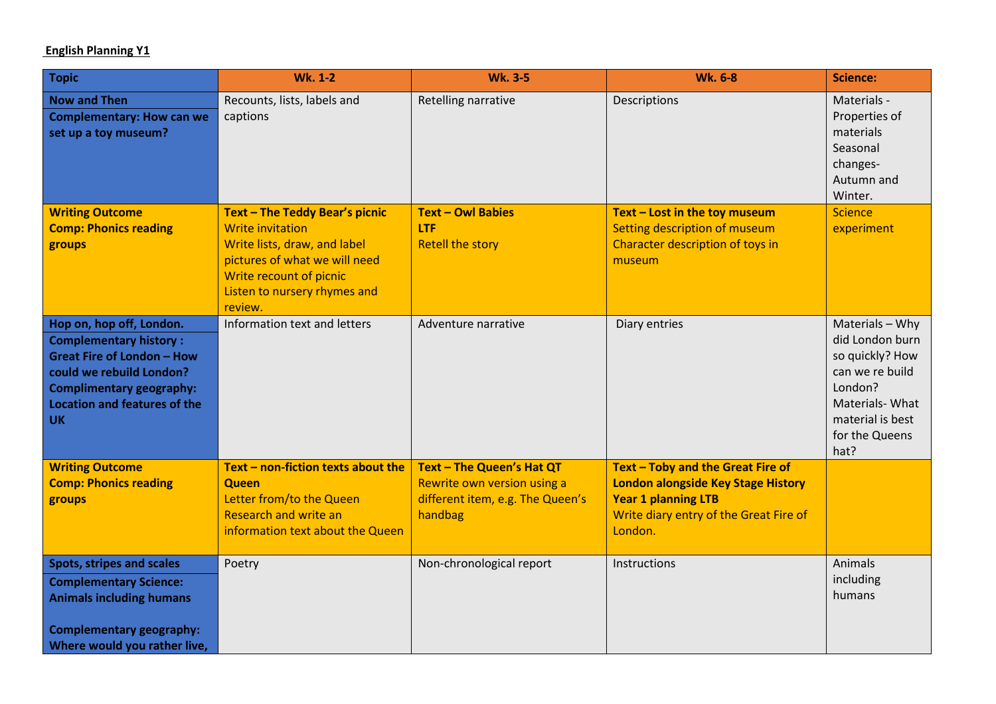## **English Planning Y1**

| <b>Topic</b>                                                                                                                                                                                                      | <b>Wk. 1-2</b>                                                                                                                                                                                   | <b>Wk. 3-5</b>                                                                                          | <b>Wk. 6-8</b>                                                                                                                                                    | <b>Science:</b>                                                                                                                                     |
|-------------------------------------------------------------------------------------------------------------------------------------------------------------------------------------------------------------------|--------------------------------------------------------------------------------------------------------------------------------------------------------------------------------------------------|---------------------------------------------------------------------------------------------------------|-------------------------------------------------------------------------------------------------------------------------------------------------------------------|-----------------------------------------------------------------------------------------------------------------------------------------------------|
| <b>Now and Then</b><br><b>Complementary: How can we</b><br>set up a toy museum?                                                                                                                                   | Recounts, lists, labels and<br>captions                                                                                                                                                          | Retelling narrative                                                                                     | Descriptions                                                                                                                                                      | Materials -<br>Properties of<br>materials<br>Seasonal<br>changes-<br>Autumn and<br>Winter.                                                          |
| <b>Writing Outcome</b><br><b>Comp: Phonics reading</b><br>groups                                                                                                                                                  | Text - The Teddy Bear's picnic<br><b>Write invitation</b><br>Write lists, draw, and label<br>pictures of what we will need<br>Write recount of picnic<br>Listen to nursery rhymes and<br>review. | <b>Text - Owl Babies</b><br>LTF<br><b>Retell the story</b>                                              | Text - Lost in the toy museum<br>Setting description of museum<br>Character description of toys in<br>museum                                                      | <b>Science</b><br>experiment                                                                                                                        |
| Hop on, hop off, London.<br><b>Complementary history:</b><br><b>Great Fire of London - How</b><br>could we rebuild London?<br><b>Complimentary geography:</b><br><b>Location and features of the</b><br><b>UK</b> | Information text and letters                                                                                                                                                                     | Adventure narrative                                                                                     | Diary entries                                                                                                                                                     | Materials - Why<br>did London burn<br>so quickly? How<br>can we re build<br>London?<br>Materials-What<br>material is best<br>for the Queens<br>hat? |
| <b>Writing Outcome</b><br><b>Comp: Phonics reading</b><br>groups                                                                                                                                                  | Text - non-fiction texts about the<br><b>Queen</b><br>Letter from/to the Queen<br><b>Research and write an</b><br>information text about the Queen                                               | Text - The Queen's Hat QT<br>Rewrite own version using a<br>different item, e.g. The Queen's<br>handbag | Text - Toby and the Great Fire of<br><b>London alongside Key Stage History</b><br><b>Year 1 planning LTB</b><br>Write diary entry of the Great Fire of<br>London. |                                                                                                                                                     |
| <b>Spots, stripes and scales</b><br><b>Complementary Science:</b><br><b>Animals including humans</b><br><b>Complementary geography:</b><br>Where would you rather live,                                           | Poetry                                                                                                                                                                                           | Non-chronological report                                                                                | Instructions                                                                                                                                                      | Animals<br>including<br>humans                                                                                                                      |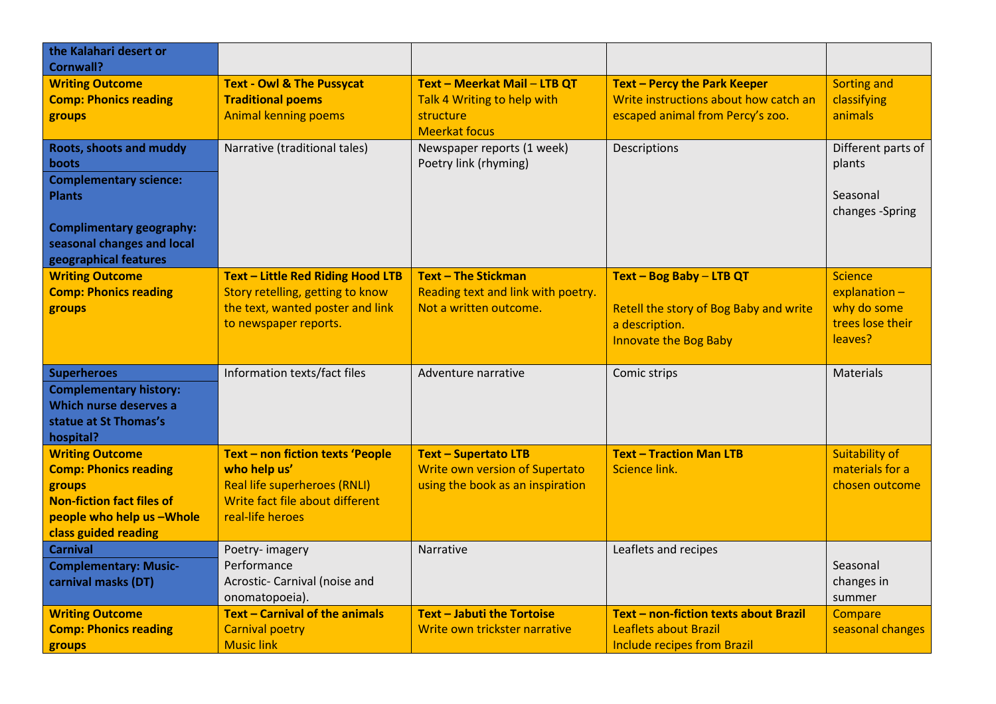| the Kalahari desert or<br><b>Cornwall?</b>                                                                                                                                          |                                                                                                                                                |                                                                                                          |                                                                                                                      |                                                                                 |
|-------------------------------------------------------------------------------------------------------------------------------------------------------------------------------------|------------------------------------------------------------------------------------------------------------------------------------------------|----------------------------------------------------------------------------------------------------------|----------------------------------------------------------------------------------------------------------------------|---------------------------------------------------------------------------------|
| <b>Writing Outcome</b><br><b>Comp: Phonics reading</b><br>groups                                                                                                                    | <b>Text - Owl &amp; The Pussycat</b><br><b>Traditional poems</b><br><b>Animal kenning poems</b>                                                | Text - Meerkat Mail - LTB QT<br>Talk 4 Writing to help with<br>structure<br><b>Meerkat focus</b>         | <b>Text - Percy the Park Keeper</b><br>Write instructions about how catch an<br>escaped animal from Percy's zoo.     | <b>Sorting and</b><br>classifying<br>animals                                    |
| <b>Roots, shoots and muddy</b><br>boots<br><b>Complementary science:</b><br><b>Plants</b><br><b>Complimentary geography:</b><br>seasonal changes and local<br>geographical features | Narrative (traditional tales)                                                                                                                  | Newspaper reports (1 week)<br>Poetry link (rhyming)                                                      | Descriptions                                                                                                         | Different parts of<br>plants<br>Seasonal<br>changes -Spring                     |
| <b>Writing Outcome</b><br><b>Comp: Phonics reading</b><br>groups                                                                                                                    | <b>Text - Little Red Riding Hood LTB</b><br>Story retelling, getting to know<br>the text, wanted poster and link<br>to newspaper reports.      | <b>Text - The Stickman</b><br>Reading text and link with poetry.<br>Not a written outcome.               | Text - Bog Baby - LTB QT<br>Retell the story of Bog Baby and write<br>a description.<br><b>Innovate the Bog Baby</b> | <b>Science</b><br>$explanation -$<br>why do some<br>trees lose their<br>leaves? |
| <b>Superheroes</b><br><b>Complementary history:</b><br>Which nurse deserves a<br>statue at St Thomas's<br>hospital?                                                                 | Information texts/fact files                                                                                                                   | Adventure narrative                                                                                      | Comic strips                                                                                                         | <b>Materials</b>                                                                |
| <b>Writing Outcome</b><br><b>Comp: Phonics reading</b><br>groups<br><b>Non-fiction fact files of</b><br>people who help us -Whole<br>class guided reading                           | Text - non fiction texts 'People<br>who help us'<br><b>Real life superheroes (RNLI)</b><br>Write fact file about different<br>real-life heroes | <b>Text - Supertato LTB</b><br><b>Write own version of Supertato</b><br>using the book as an inspiration | <b>Text - Traction Man LTB</b><br>Science link.                                                                      | <b>Suitability of</b><br>materials for a<br>chosen outcome                      |
| <b>Carnival</b><br><b>Complementary: Music-</b><br>carnival masks (DT)                                                                                                              | Poetry-imagery<br>Performance<br>Acrostic- Carnival (noise and<br>onomatopoeia).                                                               | <b>Narrative</b>                                                                                         | Leaflets and recipes                                                                                                 | Seasonal<br>changes in<br>summer                                                |
| <b>Writing Outcome</b><br><b>Comp: Phonics reading</b><br>groups                                                                                                                    | Text - Carnival of the animals<br><b>Carnival poetry</b><br><b>Music link</b>                                                                  | Text - Jabuti the Tortoise<br>Write own trickster narrative                                              | Text - non-fiction texts about Brazil<br>Leaflets about Brazil<br><b>Include recipes from Brazil</b>                 | Compare<br>seasonal changes                                                     |